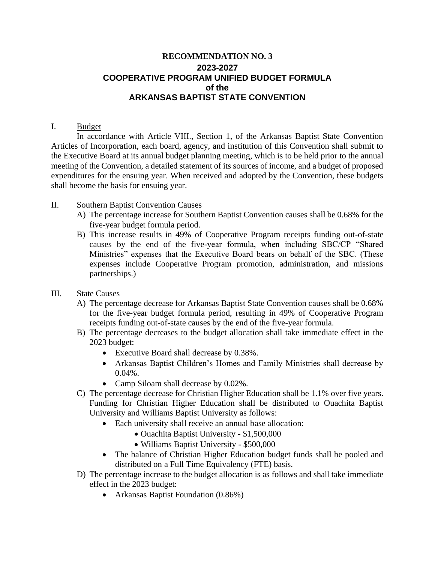# **RECOMMENDATION NO. 3 2023-2027** **COOPERATIVE PROGRAM UNIFIED BUDGET FORMULA of the ARKANSAS BAPTIST STATE CONVENTION**

#### I. Budget

In accordance with Article VIII., Section 1, of the Arkansas Baptist State Convention Articles of Incorporation, each board, agency, and institution of this Convention shall submit to the Executive Board at its annual budget planning meeting, which is to be held prior to the annual meeting of the Convention, a detailed statement of its sources of income, and a budget of proposed expenditures for the ensuing year. When received and adopted by the Convention, these budgets shall become the basis for ensuing year.

### II. Southern Baptist Convention Causes

- A) The percentage increase for Southern Baptist Convention causes shall be 0.68% for the five-year budget formula period.
- B) This increase results in 49% of Cooperative Program receipts funding out-of-state causes by the end of the five-year formula, when including SBC/CP "Shared Ministries" expenses that the Executive Board bears on behalf of the SBC. (These expenses include Cooperative Program promotion, administration, and missions partnerships.)
- III. State Causes
	- A) The percentage decrease for Arkansas Baptist State Convention causes shall be 0.68% for the five-year budget formula period, resulting in 49% of Cooperative Program receipts funding out-of-state causes by the end of the five-year formula.
	- B) The percentage decreases to the budget allocation shall take immediate effect in the 2023 budget:
		- Executive Board shall decrease by 0.38%.
		- Arkansas Baptist Children's Homes and Family Ministries shall decrease by  $0.04\%$ .
		- Camp Siloam shall decrease by 0.02%.
	- C) The percentage decrease for Christian Higher Education shall be 1.1% over five years. Funding for Christian Higher Education shall be distributed to Ouachita Baptist University and Williams Baptist University as follows:
		- Each university shall receive an annual base allocation:
			- Ouachita Baptist University \$1,500,000
			- Williams Baptist University \$500,000
		- The balance of Christian Higher Education budget funds shall be pooled and distributed on a Full Time Equivalency (FTE) basis.
	- D) The percentage increase to the budget allocation is as follows and shall take immediate effect in the 2023 budget:
		- Arkansas Baptist Foundation (0.86%)